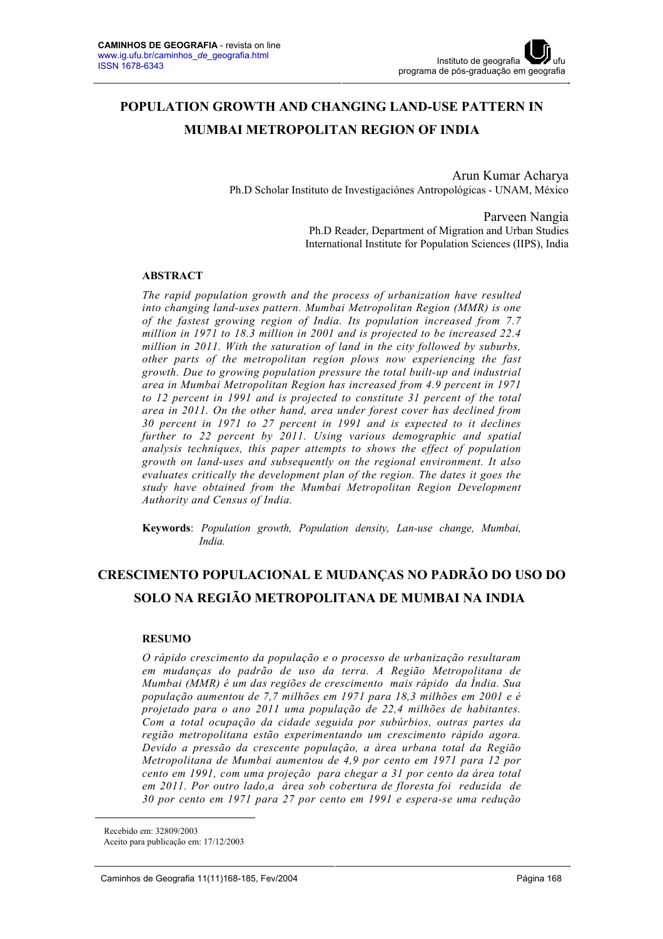# **POPULATION GROWTH AND CHANGING LAND-USE PATTERN IN MUMBAI METROPOLITAN REGION OF INDIA**

Arun Kumar Acharya Ph.D Scholar Instituto de Investigaciónes Antropológicas - UNAM, México

> Parveen Nangia Ph.D Reader, Department of Migration and Urban Studies International Institute for Population Sciences (IIPS), India

#### **ABSTRACT**

*The rapid population growth and the process of urbanization have resulted into changing land-uses pattern. Mumbai Metropolitan Region (MMR) is one of the fastest growing region of India. Its population increased from 7.7 million in 1971 to 18.3 million in 2001 and is projected to be increased 22.4 million in 2011. With the saturation of land in the city followed by suburbs, other parts of the metropolitan region plows now experiencing the fast growth. Due to growing population pressure the total built-up and industrial area in Mumbai Metropolitan Region has increased from 4.9 percent in 1971 to 12 percent in 1991 and is projected to constitute 31 percent of the total area in 2011. On the other hand, area under forest cover has declined from 30 percent in 1971 to 27 percent in 1991 and is expected to it declines further to 22 percent by 2011. Using various demographic and spatial analysis techniques, this paper attempts to shows the effect of population growth on land-uses and subsequently on the regional environment. It also evaluates critically the development plan of the region. The dates it goes the study have obtained from the Mumbai Metropolitan Region Development Authority and Census of India.*

**Keywords**: *Population growth, Population density, Lan-use change, Mumbai, India.*

# **CRESCIMENTO POPULACIONAL E MUDANÇAS NO PADRÃO DO USO DO SOLO NA REGIÃO METROPOLITANA DE MUMBAI NA INDIA<sup>1</sup>**

#### **RESUMO**

*O rápido crescimento da população e o processo de urbanização resultaram em mudanças do padrão de uso da terra. A Região Metropolitana de Mumbai (MMR) é um das regiões de crescimento mais rápido da Índia. Sua população aumentou de 7,7 milhões em 1971 para 18,3 milhões em 2001 e é projetado para o ano 2011 uma população de 22,4 milhões de habitantes. Com a total ocupação da cidade seguida por subúrbios, outras partes da região metropolitana estão experimentando um crescimento rápido agora. Devido a pressão da crescente população, a área urbana total da Região Metropolitana de Mumbai aumentou de 4,9 por cento em 1971 para 12 por cento em 1991, com uma projeção para chegar a 31 por cento da área total em 2011. Por outro lado,a área sob cobertura de floresta foi reduzida de 30 por cento em 1971 para 27 por cento em 1991 e espera-se uma redução* 

 $\overline{a}$ 

Recebido em: 32809/2003

Aceito para publicação em: 17/12/2003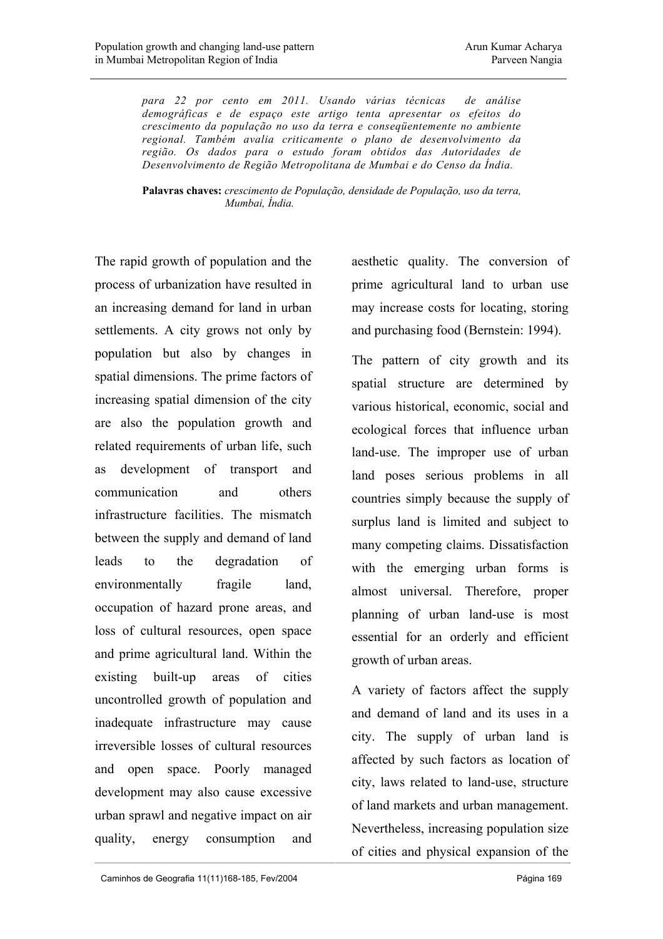*para 22 por cento em 2011. Usando várias técnicas de análise demográficas e de espaço este artigo tenta apresentar os efeitos do crescimento da população no uso da terra e conseqüentemente no ambiente regional. Também avalia criticamente o plano de desenvolvimento da região. Os dados para o estudo foram obtidos das Autoridades de Desenvolvimento de Região Metropolitana de Mumbai e do Censo da Índia.* 

**Palavras chaves:** *crescimento de População, densidade de População, uso da terra, Mumbai, Índia.*

The rapid growth of population and the process of urbanization have resulted in an increasing demand for land in urban settlements. A city grows not only by population but also by changes in spatial dimensions. The prime factors of increasing spatial dimension of the city are also the population growth and related requirements of urban life, such as development of transport and communication and others infrastructure facilities. The mismatch between the supply and demand of land leads to the degradation of environmentally fragile land, occupation of hazard prone areas, and loss of cultural resources, open space and prime agricultural land. Within the existing built-up areas of cities uncontrolled growth of population and inadequate infrastructure may cause irreversible losses of cultural resources and open space. Poorly managed development may also cause excessive urban sprawl and negative impact on air quality, energy consumption and

aesthetic quality. The conversion of prime agricultural land to urban use may increase costs for locating, storing and purchasing food (Bernstein: 1994).

The pattern of city growth and its spatial structure are determined by various historical, economic, social and ecological forces that influence urban land-use. The improper use of urban land poses serious problems in all countries simply because the supply of surplus land is limited and subject to many competing claims. Dissatisfaction with the emerging urban forms is almost universal. Therefore, proper planning of urban land-use is most essential for an orderly and efficient growth of urban areas.

A variety of factors affect the supply and demand of land and its uses in a city. The supply of urban land is affected by such factors as location of city, laws related to land-use, structure of land markets and urban management. Nevertheless, increasing population size of cities and physical expansion of the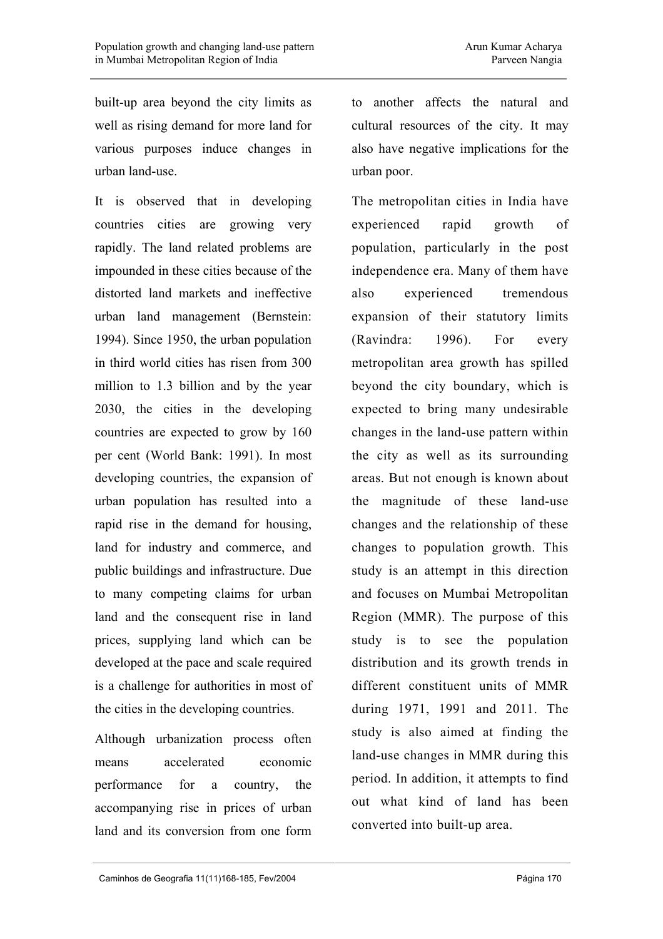built-up area beyond the city limits as well as rising demand for more land for various purposes induce changes in urban land-use.

It is observed that in developing countries cities are growing very rapidly. The land related problems are impounded in these cities because of the distorted land markets and ineffective urban land management (Bernstein: 1994). Since 1950, the urban population in third world cities has risen from 300 million to 1.3 billion and by the year 2030, the cities in the developing countries are expected to grow by 160 per cent (World Bank: 1991). In most developing countries, the expansion of urban population has resulted into a rapid rise in the demand for housing, land for industry and commerce, and public buildings and infrastructure. Due to many competing claims for urban land and the consequent rise in land prices, supplying land which can be developed at the pace and scale required is a challenge for authorities in most of the cities in the developing countries.

Although urbanization process often means accelerated economic performance for a country, the accompanying rise in prices of urban land and its conversion from one form

to another affects the natural and cultural resources of the city. It may also have negative implications for the urban poor.

The metropolitan cities in India have experienced rapid growth of population, particularly in the post independence era. Many of them have also experienced tremendous expansion of their statutory limits (Ravindra: 1996). For every metropolitan area growth has spilled beyond the city boundary, which is expected to bring many undesirable changes in the land-use pattern within the city as well as its surrounding areas. But not enough is known about the magnitude of these land-use changes and the relationship of these changes to population growth. This study is an attempt in this direction and focuses on Mumbai Metropolitan Region (MMR). The purpose of this study is to see the population distribution and its growth trends in different constituent units of MMR during 1971, 1991 and 2011. The study is also aimed at finding the land-use changes in MMR during this period. In addition, it attempts to find out what kind of land has been converted into built-up area.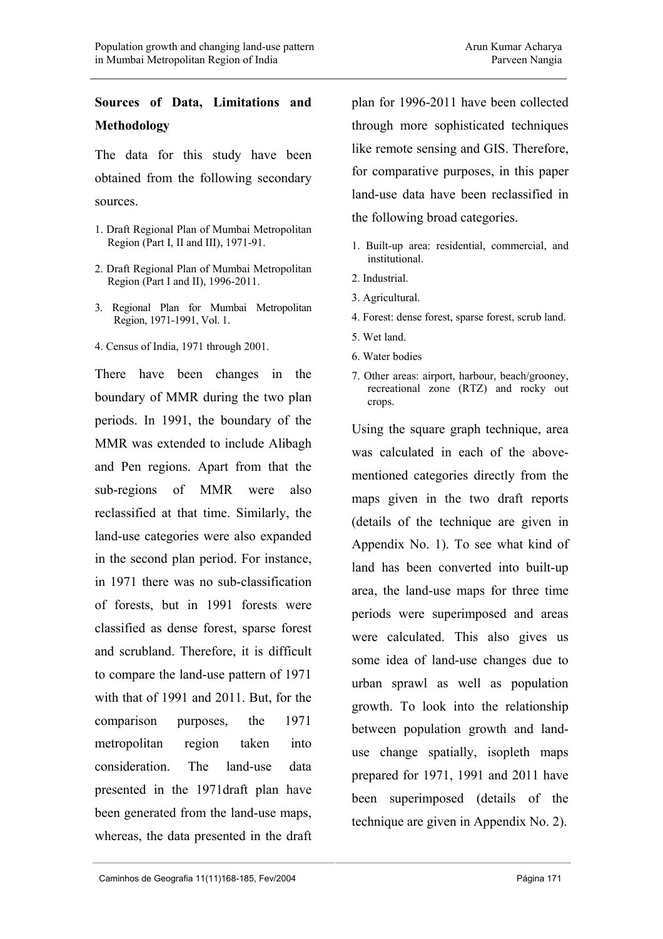## **Sources of Data, Limitations and Methodology**

The data for this study have been obtained from the following secondary sources.

- 1. Draft Regional Plan of Mumbai Metropolitan Region (Part I, II and III), 1971-91.
- 2. Draft Regional Plan of Mumbai Metropolitan Region (Part I and II), 1996-2011.
- 3. Regional Plan for Mumbai Metropolitan Region, 1971-1991, Vol. 1.
- 4. Census of India, 1971 through 2001.

There have been changes in the boundary of MMR during the two plan periods. In 1991, the boundary of the MMR was extended to include Alibagh and Pen regions. Apart from that the sub-regions of MMR were also reclassified at that time. Similarly, the land-use categories were also expanded in the second plan period. For instance, in 1971 there was no sub-classification of forests, but in 1991 forests were classified as dense forest, sparse forest and scrubland. Therefore, it is difficult to compare the land-use pattern of 1971 with that of 1991 and 2011. But, for the comparison purposes, the 1971 metropolitan region taken into consideration. The land-use data presented in the 1971draft plan have been generated from the land-use maps, whereas, the data presented in the draft plan for 1996-2011 have been collected through more sophisticated techniques like remote sensing and GIS. Therefore, for comparative purposes, in this paper land-use data have been reclassified in the following broad categories.

- 1. Built-up area: residential, commercial, and institutional.
- 2. Industrial.
- 3. Agricultural.
- 4. Forest: dense forest, sparse forest, scrub land.
- 5. Wet land.
- 6. Water bodies
- 7. Other areas: airport, harbour, beach/grooney, recreational zone (RTZ) and rocky out crops.

Using the square graph technique, area was calculated in each of the abovementioned categories directly from the maps given in the two draft reports (details of the technique are given in Appendix No. 1). To see what kind of land has been converted into built-up area, the land-use maps for three time periods were superimposed and areas were calculated. This also gives us some idea of land-use changes due to urban sprawl as well as population growth. To look into the relationship between population growth and landuse change spatially, isopleth maps prepared for 1971, 1991 and 2011 have been superimposed (details of the technique are given in Appendix No. 2).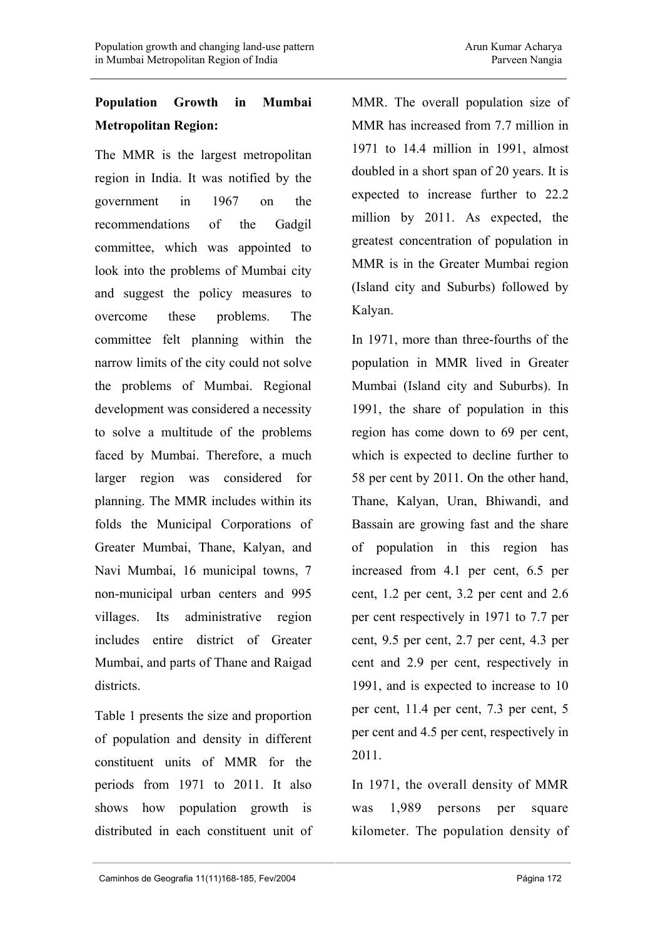# **Population Growth in Mumbai Metropolitan Region:**

The MMR is the largest metropolitan region in India. It was notified by the government in 1967 on the recommendations of the Gadgil committee, which was appointed to look into the problems of Mumbai city and suggest the policy measures to overcome these problems. The committee felt planning within the narrow limits of the city could not solve the problems of Mumbai. Regional development was considered a necessity to solve a multitude of the problems faced by Mumbai. Therefore, a much larger region was considered for planning. The MMR includes within its folds the Municipal Corporations of Greater Mumbai, Thane, Kalyan, and Navi Mumbai, 16 municipal towns, 7 non-municipal urban centers and 995 villages. Its administrative region includes entire district of Greater Mumbai, and parts of Thane and Raigad districts.

Table 1 presents the size and proportion of population and density in different constituent units of MMR for the periods from 1971 to 2011. It also shows how population growth is distributed in each constituent unit of MMR. The overall population size of MMR has increased from 7.7 million in 1971 to 14.4 million in 1991, almost doubled in a short span of 20 years. It is expected to increase further to 22.2 million by 2011. As expected, the greatest concentration of population in MMR is in the Greater Mumbai region (Island city and Suburbs) followed by Kalyan.

In 1971, more than three-fourths of the population in MMR lived in Greater Mumbai (Island city and Suburbs). In 1991, the share of population in this region has come down to 69 per cent, which is expected to decline further to 58 per cent by 2011. On the other hand, Thane, Kalyan, Uran, Bhiwandi, and Bassain are growing fast and the share of population in this region has increased from 4.1 per cent, 6.5 per cent, 1.2 per cent, 3.2 per cent and 2.6 per cent respectively in 1971 to 7.7 per cent, 9.5 per cent, 2.7 per cent, 4.3 per cent and 2.9 per cent, respectively in 1991, and is expected to increase to 10 per cent, 11.4 per cent, 7.3 per cent, 5 per cent and 4.5 per cent, respectively in 2011.

In 1971, the overall density of MMR was 1,989 persons per square kilometer. The population density of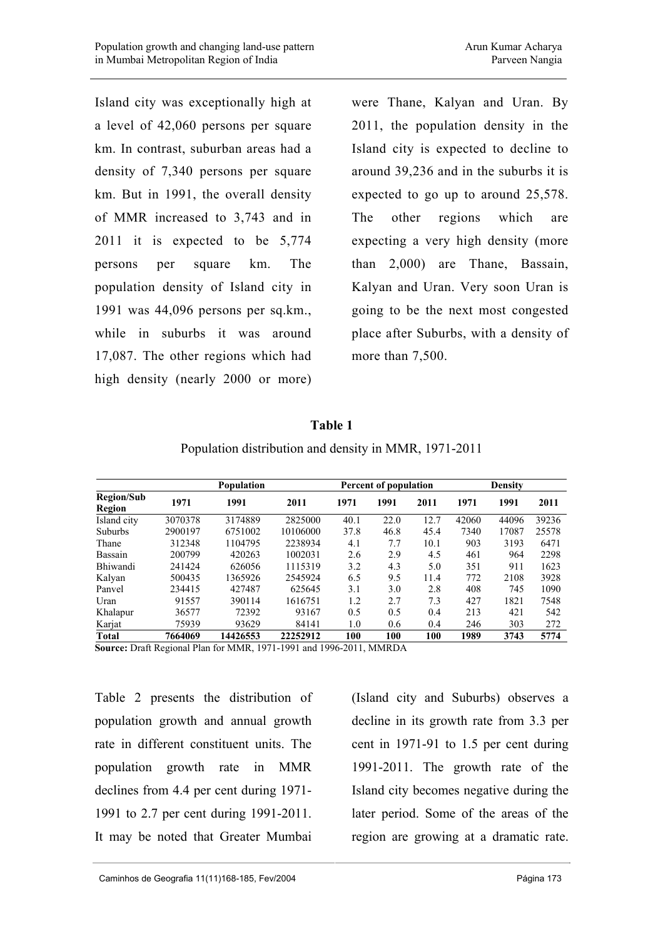Island city was exceptionally high at a level of 42,060 persons per square km. In contrast, suburban areas had a density of 7,340 persons per square km. But in 1991, the overall density of MMR increased to 3,743 and in 2011 it is expected to be 5,774 persons per square km. The population density of Island city in 1991 was 44,096 persons per sq.km., while in suburbs it was around 17,087. The other regions which had high density (nearly 2000 or more)

were Thane, Kalyan and Uran. By 2011, the population density in the Island city is expected to decline to around 39,236 and in the suburbs it is expected to go up to around 25,578. The other regions which are expecting a very high density (more than 2,000) are Thane, Bassain, Kalyan and Uran. Very soon Uran is going to be the next most congested place after Suburbs, with a density of more than 7,500.

|                             |         | <b>Population</b> |          |      | Percent of population |      |       | <b>Density</b> |       |  |
|-----------------------------|---------|-------------------|----------|------|-----------------------|------|-------|----------------|-------|--|
| <b>Region/Sub</b><br>Region | 1971    | 1991              | 2011     | 1971 | 1991                  | 2011 | 1971  | 1991           | 2011  |  |
| Island city                 | 3070378 | 3174889           | 2825000  | 40.1 | 22.0                  | 12.7 | 42060 | 44096          | 39236 |  |
| <b>Suburbs</b>              | 2900197 | 6751002           | 10106000 | 37.8 | 46.8                  | 45.4 | 7340  | 17087          | 25578 |  |
| Thane                       | 312348  | 1104795           | 2238934  | 4.1  | 7.7                   | 10.1 | 903   | 3193           | 6471  |  |
| Bassain                     | 200799  | 420263            | 1002031  | 2.6  | 2.9                   | 4.5  | 461   | 964            | 2298  |  |
| <b>Bhiwandi</b>             | 241424  | 626056            | 1115319  | 3.2  | 4.3                   | 5.0  | 351   | 911            | 1623  |  |
| Kalyan                      | 500435  | 1365926           | 2545924  | 6.5  | 9.5                   | 11.4 | 772   | 2108           | 3928  |  |
| Panvel                      | 234415  | 427487            | 625645   | 3.1  | 3.0                   | 2.8  | 408   | 745            | 1090  |  |
| Uran                        | 91557   | 390114            | 1616751  | 1.2  | 2.7                   | 7.3  | 427   | 1821           | 7548  |  |
| Khalapur                    | 36577   | 72392             | 93167    | 0.5  | 0.5                   | 0.4  | 213   | 421            | 542   |  |
| Karjat                      | 75939   | 93629             | 84141    | 1.0  | 0.6                   | 0.4  | 246   | 303            | 272   |  |
| <b>Total</b>                | 7664069 | 14426553          | 22252912 | 100  | 100                   | 100  | 1989  | 3743           | 5774  |  |

|  |  | Table 1 |  |                                                        |  |
|--|--|---------|--|--------------------------------------------------------|--|
|  |  |         |  | $11$ $12$ $13$ $13$ $13$ $15$ $10$ $10$ $10$ $10$ $10$ |  |

Population distribution and density in MMR, 1971-2011

**Source:** Draft Regional Plan for MMR, 1971-1991 and 1996-2011, MMRDA

Table 2 presents the distribution of population growth and annual growth rate in different constituent units. The population growth rate in MMR declines from 4.4 per cent during 1971- 1991 to 2.7 per cent during 1991-2011. It may be noted that Greater Mumbai

(Island city and Suburbs) observes a decline in its growth rate from 3.3 per cent in 1971-91 to 1.5 per cent during 1991-2011. The growth rate of the Island city becomes negative during the later period. Some of the areas of the region are growing at a dramatic rate.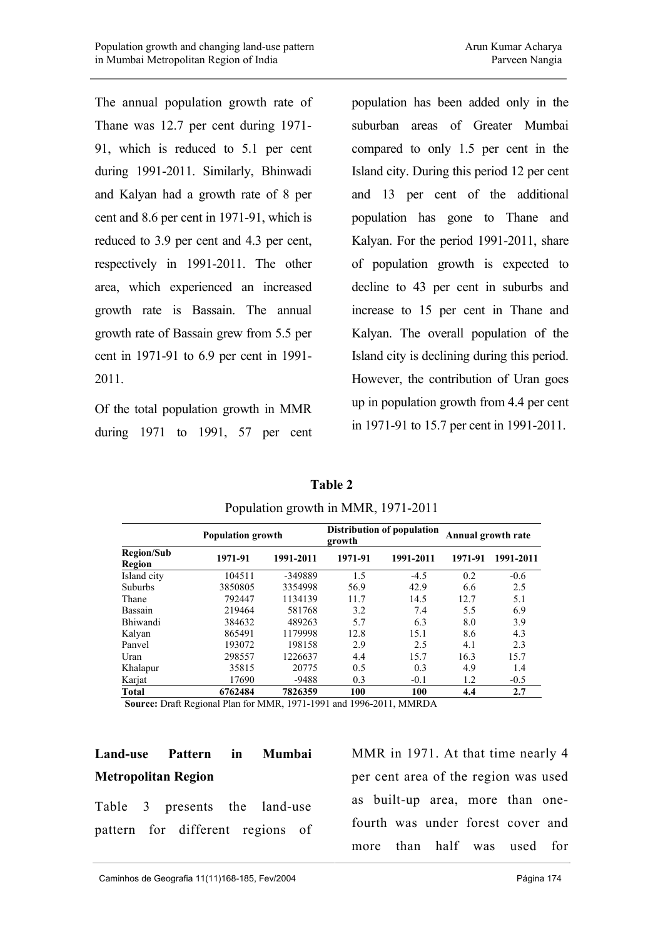The annual population growth rate of Thane was 12.7 per cent during 1971- 91, which is reduced to 5.1 per cent during 1991-2011. Similarly, Bhinwadi and Kalyan had a growth rate of 8 per cent and 8.6 per cent in 1971-91, which is reduced to 3.9 per cent and 4.3 per cent, respectively in 1991-2011. The other area, which experienced an increased growth rate is Bassain. The annual growth rate of Bassain grew from 5.5 per cent in 1971-91 to 6.9 per cent in 1991- 2011.

Of the total population growth in MMR during 1971 to 1991, 57 per cent population has been added only in the suburban areas of Greater Mumbai compared to only 1.5 per cent in the Island city. During this period 12 per cent and 13 per cent of the additional population has gone to Thane and Kalyan. For the period 1991-2011, share of population growth is expected to decline to 43 per cent in suburbs and increase to 15 per cent in Thane and Kalyan. The overall population of the Island city is declining during this period. However, the contribution of Uran goes up in population growth from 4.4 per cent in 1971-91 to 15.7 per cent in 1991-2011.

|                             | <b>Population growth</b> |           | growth  | Distribution of population | Annual growth rate |           |
|-----------------------------|--------------------------|-----------|---------|----------------------------|--------------------|-----------|
| <b>Region/Sub</b><br>Region | 1971-91                  | 1991-2011 | 1971-91 | 1991-2011                  | 1971-91            | 1991-2011 |
| Island city                 | 104511                   | -349889   | 1.5     | $-4.5$                     | 0.2                | $-0.6$    |
| <b>Suburbs</b>              | 3850805                  | 3354998   | 56.9    | 42.9                       | 6.6                | 2.5       |
| Thane                       | 792447                   | 1134139   | 11.7    | 14.5                       | 12.7               | 5.1       |
| Bassain                     | 219464                   | 581768    | 3.2     | 7.4                        | 5.5                | 6.9       |
| <b>Bhiwandi</b>             | 384632                   | 489263    | 5.7     | 6.3                        | 8.0                | 3.9       |
| Kalyan                      | 865491                   | 1179998   | 12.8    | 15.1                       | 8.6                | 4.3       |
| Panyel                      | 193072                   | 198158    | 2.9     | 2.5                        | 4.1                | 2.3       |
| Uran                        | 298557                   | 1226637   | 4.4     | 15.7                       | 16.3               | 15.7      |
| Khalapur                    | 35815                    | 20775     | 0.5     | 0.3                        | 4.9                | 1.4       |
| Karjat                      | 17690                    | $-9488$   | 0.3     | $-0.1$                     | 1.2                | $-0.5$    |
| Total                       | 6762484                  | 7826359   | 100     | 100                        | 4.4                | 2.7       |

**Table 2**  Population growth in MMR, 1971-2011

**Source:** Draft Regional Plan for MMR, 1971-1991 and 1996-2011, MMRDA

## **Land-use Pattern in Mumbai Metropolitan Region**

Table 3 presents the land-use pattern for different regions of MMR in 1971. At that time nearly 4 per cent area of the region was used as built-up area, more than onefourth was under forest cover and more than half was used for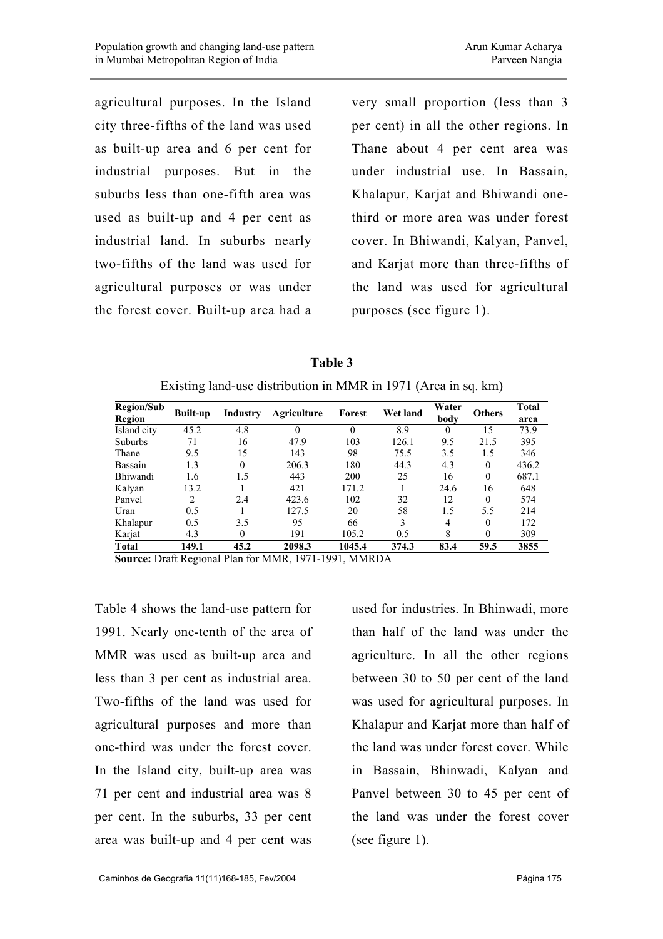agricultural purposes. In the Island city three-fifths of the land was used as built-up area and 6 per cent for industrial purposes. But in the suburbs less than one-fifth area was used as built-up and 4 per cent as industrial land. In suburbs nearly two-fifths of the land was used for agricultural purposes or was under the forest cover. Built-up area had a

very small proportion (less than 3 per cent) in all the other regions. In Thane about 4 per cent area was under industrial use. In Bassain, Khalapur, Karjat and Bhiwandi onethird or more area was under forest cover. In Bhiwandi, Kalyan, Panvel, and Karjat more than three-fifths of the land was used for agricultural purposes (see figure 1).

**Table 3**  Existing land-use distribution in MMR in 1971 (Area in sq. km)

| <b>Region/Sub</b> | <b>Built-up</b> | Industry | Agriculture | Forest | Wet land | Water    | <b>Others</b> | <b>Total</b> |
|-------------------|-----------------|----------|-------------|--------|----------|----------|---------------|--------------|
| Region            |                 |          |             |        |          | body     |               | area         |
| Island city       | 45.2            | 4.8      |             |        | 8.9      | $\theta$ | 15            | 73.9         |
| <b>Suburbs</b>    | 71              | 16       | 47.9        | 103    | 126.1    | 9.5      | 21.5          | 395          |
| Thane             | 9.5             | 15       | 143         | 98     | 75.5     | 3.5      | 1.5           | 346          |
| Bassain           | 1.3             | $\theta$ | 206.3       | 180    | 44.3     | 4.3      | $\Omega$      | 436.2        |
| Bhiwandi          | 1.6             | 1.5      | 443         | 200    | 25       | 16       | $\theta$      | 687.1        |
| Kalyan            | 13.2            |          | 421         | 171.2  |          | 24.6     | 16            | 648          |
| Panvel            | $\mathfrak{D}$  | 2.4      | 423.6       | 102    | 32       | 12       | $\theta$      | 574          |
| Uran              | 0.5             |          | 127.5       | 20     | 58       | 1.5      | 5.5           | 214          |
| Khalapur          | 0.5             | 3.5      | 95          | 66     | 3        | 4        | $\theta$      | 172          |
| Karjat            | 4.3             | $\theta$ | 191         | 105.2  | 0.5      | 8        | $\theta$      | 309          |
| <b>Total</b>      | 149.1           | 45.2     | 2098.3      | 1045.4 | 374.3    | 83.4     | 59.5          | 3855         |

**Source:** Draft Regional Plan for MMR, 1971-1991, MMRDA

Table 4 shows the land-use pattern for 1991. Nearly one-tenth of the area of MMR was used as built-up area and less than 3 per cent as industrial area. Two-fifths of the land was used for agricultural purposes and more than one-third was under the forest cover. In the Island city, built-up area was 71 per cent and industrial area was 8 per cent. In the suburbs, 33 per cent area was built-up and 4 per cent was

used for industries. In Bhinwadi, more than half of the land was under the agriculture. In all the other regions between 30 to 50 per cent of the land was used for agricultural purposes. In Khalapur and Karjat more than half of the land was under forest cover. While in Bassain, Bhinwadi, Kalyan and Panvel between 30 to 45 per cent of the land was under the forest cover (see figure 1).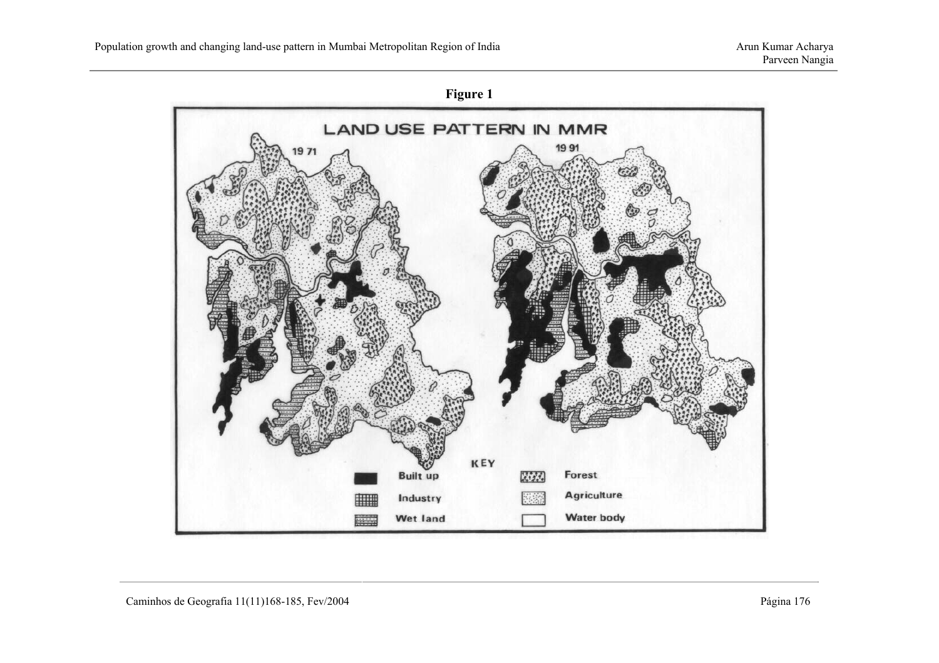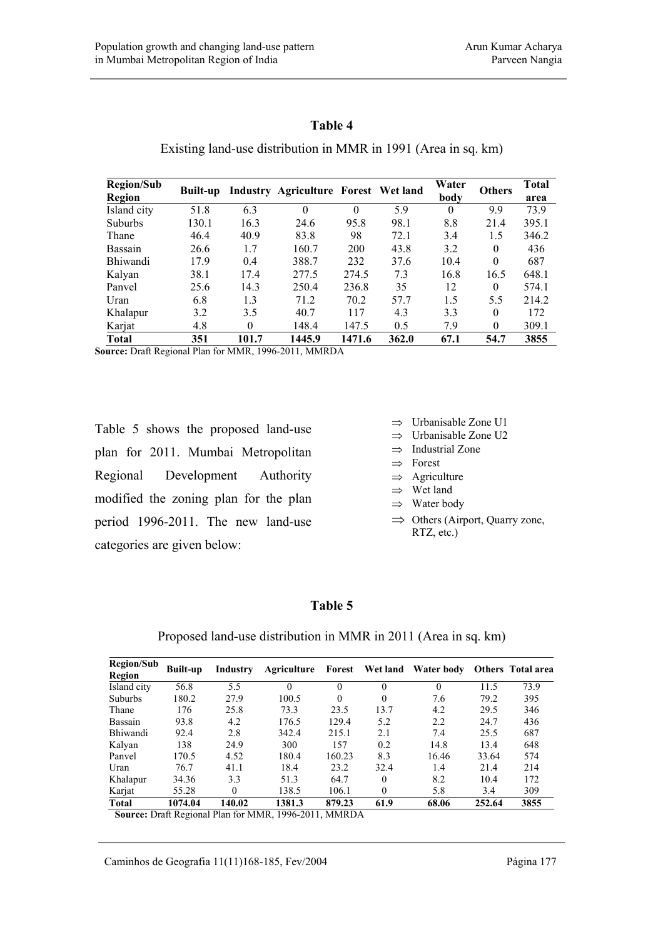### **Table 4**

Existing land-use distribution in MMR in 1991 (Area in sq. km)

| <b>Region/Sub</b> | <b>Built-up</b> |          | Water<br>Industry Agriculture Forest Wet land | <b>Others</b> | Total |          |          |       |
|-------------------|-----------------|----------|-----------------------------------------------|---------------|-------|----------|----------|-------|
| Region            |                 |          |                                               |               |       | body     |          | area  |
| Island city       | 51.8            | 6.3      |                                               | $\Omega$      | 5.9   | $\Omega$ | 9.9      | 73.9  |
| <b>Suburbs</b>    | 130.1           | 16.3     | 24.6                                          | 95.8          | 98.1  | 8.8      | 21.4     | 395.1 |
| Thane             | 46.4            | 40.9     | 83.8                                          | 98            | 72.1  | 3.4      | 1.5      | 346.2 |
| Bassain           | 26.6            | 1.7      | 160.7                                         | 200           | 43.8  | 3.2      | $\theta$ | 436   |
| <b>Bhiwandi</b>   | 17.9            | 0.4      | 388.7                                         | 232           | 37.6  | 10.4     | $\theta$ | 687   |
| Kalyan            | 38.1            | 17.4     | 277.5                                         | 274.5         | 7.3   | 16.8     | 16.5     | 648.1 |
| Panyel            | 25.6            | 14.3     | 250.4                                         | 236.8         | 35    | 12       | $\theta$ | 574.1 |
| Uran              | 6.8             | 1.3      | 71.2                                          | 70.2          | 57.7  | 1.5      | 5.5      | 214.2 |
| Khalapur          | 3.2             | 3.5      | 40.7                                          | 117           | 4.3   | 3.3      | $\Omega$ | 172   |
| Karjat            | 4.8             | $\theta$ | 148.4                                         | 147.5         | 0.5   | 7.9      | $\Omega$ | 309.1 |
| <b>Total</b>      | 351             | 101.7    | 1445.9                                        | 1471.6        | 362.0 | 67.1     | 54.7     | 3855  |

**Source:** Draft Regional Plan for MMR, 1996-2011, MMRDA

Table 5 shows the proposed land-use plan for 2011. Mumbai Metropolitan Regional Development Authority modified the zoning plan for the plan period 1996-2011. The new land-use categories are given below:

- ⇒ Urbanisable Zone U1
- ⇒ Urbanisable Zone U2
- ⇒ Industrial Zone
- ⇒ Forest
- ⇒ Agriculture
- ⇒ Wet land
- ⇒ Water body
- ⇒ Others (Airport, Quarry zone, RTZ, etc.)

### **Table 5**

Proposed land-use distribution in MMR in 2011 (Area in sq. km)

| <b>Region/Sub</b><br>Region | <b>Built-up</b> | Industry | Agriculture                                           |          |          | Forest Wet land Water body Others Total area |        |      |
|-----------------------------|-----------------|----------|-------------------------------------------------------|----------|----------|----------------------------------------------|--------|------|
| Island city                 | 56.8            | 5.5      | $\theta$                                              | 0        | $\theta$ | $\Omega$                                     | 11.5   | 73.9 |
| <b>Suburbs</b>              | 180.2           | 27.9     | 100.5                                                 | $\theta$ | $\theta$ | 7.6                                          | 79.2   | 395  |
| Thane                       | 176             | 25.8     | 73.3                                                  | 23.5     | 13.7     | 4.2                                          | 29.5   | 346  |
| Bassain                     | 93.8            | 4.2      | 176.5                                                 | 129.4    | 5.2      | 2.2                                          | 24.7   | 436  |
| Bhiwandi                    | 92.4            | 2.8      | 342.4                                                 | 215.1    | 2.1      | 7.4                                          | 25.5   | 687  |
| Kalyan                      | 138             | 24.9     | 300                                                   | 157      | 0.2      | 14.8                                         | 13.4   | 648  |
| Panvel                      | 170.5           | 4.52     | 180.4                                                 | 160.23   | 8.3      | 16.46                                        | 33.64  | 574  |
| Uran                        | 76.7            | 41.1     | 18.4                                                  | 23.2     | 32.4     | 1.4                                          | 21.4   | 214  |
| Khalapur                    | 34.36           | 3.3      | 51.3                                                  | 64.7     | $\Omega$ | 8.2                                          | 10.4   | 172  |
| Karjat                      | 55.28           | $\theta$ | 138.5                                                 | 106.1    | $\theta$ | 5.8                                          | 3.4    | 309  |
| <b>Total</b>                | 1074.04         | 140.02   | 1381.3                                                | 879.23   | 61.9     | 68.06                                        | 252.64 | 3855 |
|                             |                 |          | Source: Draft Regional Plan for MMR, 1996-2011, MMRDA |          |          |                                              |        |      |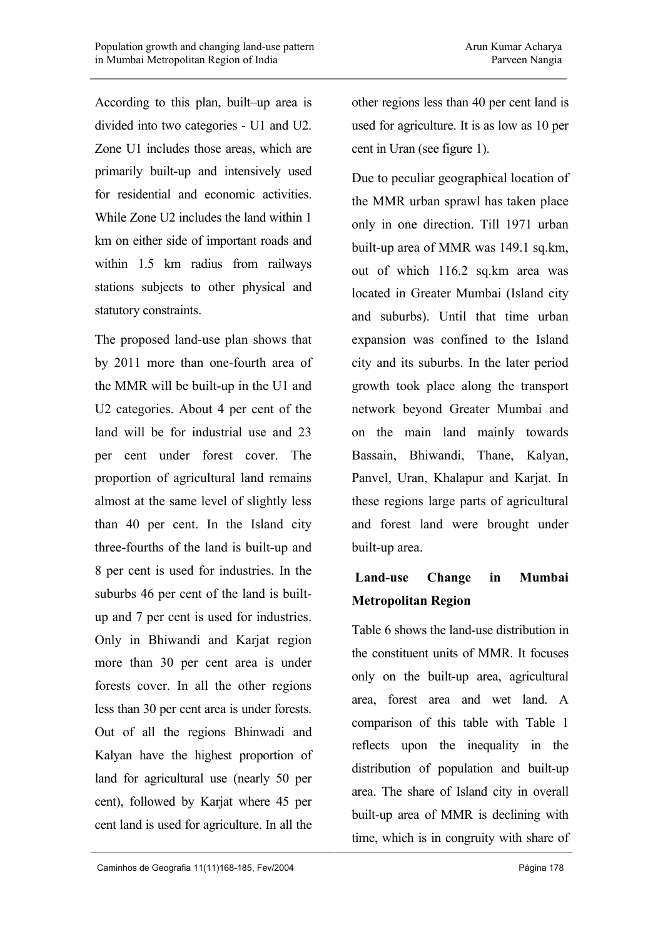According to this plan, built–up area is divided into two categories - U1 and U2. Zone U1 includes those areas, which are primarily built-up and intensively used for residential and economic activities. While Zone U2 includes the land within 1 km on either side of important roads and within 1.5 km radius from railways stations subjects to other physical and statutory constraints.

The proposed land-use plan shows that by 2011 more than one-fourth area of the MMR will be built-up in the U1 and U2 categories. About 4 per cent of the land will be for industrial use and 23 per cent under forest cover. The proportion of agricultural land remains almost at the same level of slightly less than 40 per cent. In the Island city three-fourths of the land is built-up and 8 per cent is used for industries. In the suburbs 46 per cent of the land is builtup and 7 per cent is used for industries. Only in Bhiwandi and Karjat region more than 30 per cent area is under forests cover. In all the other regions less than 30 per cent area is under forests. Out of all the regions Bhinwadi and Kalyan have the highest proportion of land for agricultural use (nearly 50 per cent), followed by Karjat where 45 per cent land is used for agriculture. In all the

other regions less than 40 per cent land is used for agriculture. It is as low as 10 per cent in Uran (see figure 1).

Due to peculiar geographical location of the MMR urban sprawl has taken place only in one direction. Till 1971 urban built-up area of MMR was 149.1 sq.km, out of which 116.2 sq.km area was located in Greater Mumbai (Island city and suburbs). Until that time urban expansion was confined to the Island city and its suburbs. In the later period growth took place along the transport network beyond Greater Mumbai and on the main land mainly towards Bassain, Bhiwandi, Thane, Kalyan, Panvel, Uran, Khalapur and Karjat. In these regions large parts of agricultural and forest land were brought under built-up area.

## **Land-use Change in Mumbai Metropolitan Region**

Table 6 shows the land-use distribution in the constituent units of MMR. It focuses only on the built-up area, agricultural area, forest area and wet land. A comparison of this table with Table 1 reflects upon the inequality in the distribution of population and built-up area. The share of Island city in overall built-up area of MMR is declining with time, which is in congruity with share of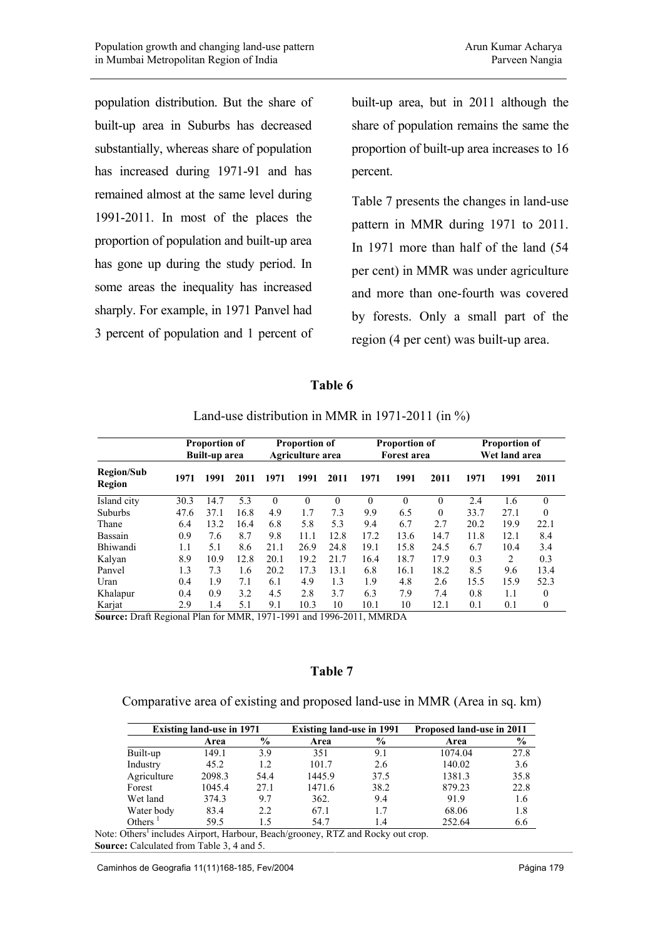population distribution. But the share of built-up area in Suburbs has decreased substantially, whereas share of population has increased during 1971-91 and has remained almost at the same level during 1991-2011. In most of the places the proportion of population and built-up area has gone up during the study period. In some areas the inequality has increased sharply. For example, in 1971 Panvel had 3 percent of population and 1 percent of

built-up area, but in 2011 although the share of population remains the same the proportion of built-up area increases to 16 percent.

Table 7 presents the changes in land-use pattern in MMR during 1971 to 2011. In 1971 more than half of the land (54 per cent) in MMR was under agriculture and more than one-fourth was covered by forests. Only a small part of the region (4 per cent) was built-up area.

### **Table 6**

|                             |      | <b>Proportion of</b><br>Built-up area |      |          | <b>Proportion of</b><br>Agriculture area |          |          | <b>Proportion of</b><br><b>Forest area</b> |          |      | <b>Proportion of</b><br>Wet land area |              |
|-----------------------------|------|---------------------------------------|------|----------|------------------------------------------|----------|----------|--------------------------------------------|----------|------|---------------------------------------|--------------|
| <b>Region/Sub</b><br>Region | 1971 | 1991                                  | 2011 | 1971     | 1991                                     | 2011     | 1971     | 1991                                       | 2011     | 1971 | 1991                                  | 2011         |
| Island city                 | 30.3 | 14.7                                  | 5.3  | $\theta$ | $\theta$                                 | $\theta$ | $\theta$ | $\Omega$                                   | $\theta$ | 2.4  | 1.6                                   | $\mathbf{0}$ |
| <b>Suburbs</b>              | 47.6 | 37.1                                  | 16.8 | 4.9      | 1.7                                      | 7.3      | 9.9      | 6.5                                        | $\theta$ | 33.7 | 27.1                                  | $\theta$     |
| Thane                       | 6.4  | 13.2                                  | 16.4 | 6.8      | 5.8                                      | 5.3      | 9.4      | 6.7                                        | 2.7      | 20.2 | 19.9                                  | 22.1         |
| Bassain                     | 0.9  | 7.6                                   | 8.7  | 9.8      | 11.1                                     | 12.8     | 17.2     | 13.6                                       | 14.7     | 11.8 | 12.1                                  | 8.4          |
| Bhiwandi                    | 1.1  | 5.1                                   | 8.6  | 21.1     | 26.9                                     | 24.8     | 19.1     | 15.8                                       | 24.5     | 6.7  | 10.4                                  | 3.4          |
| Kalyan                      | 8.9  | 10.9                                  | 12.8 | 20.1     | 19.2                                     | 21.7     | 16.4     | 18.7                                       | 17.9     | 0.3  | 2                                     | 0.3          |
| Panvel                      | 1.3  | 7.3                                   | 1.6  | 20.2     | 17.3                                     | 13.1     | 6.8      | 16.1                                       | 18.2     | 8.5  | 9.6                                   | 13.4         |
| Uran                        | 0.4  | 1.9                                   | 7.1  | 6.1      | 4.9                                      | 1.3      | 1.9      | 4.8                                        | 2.6      | 15.5 | 15.9                                  | 52.3         |
| Khalapur                    | 0.4  | 0.9                                   | 3.2  | 4.5      | 2.8                                      | 3.7      | 6.3      | 7.9                                        | 7.4      | 0.8  | 1.1                                   | $\theta$     |
| Karjat                      | 2.9  | 1.4                                   | 5.1  | 9.1      | 10.3                                     | 10       | 10.1     | 10                                         | 12.1     | 0.1  | 0.1                                   | $\mathbf{0}$ |

Land-use distribution in MMR in 1971-2011 (in %)

**Source:** Draft Regional Plan for MMR, 1971-1991 and 1996-2011, MMRDA

### **Table 7**

#### Comparative area of existing and proposed land-use in MMR (Area in sq. km)

| <b>Existing land-use in 1971</b> |        |               | <b>Existing land-use in 1991</b> |               | Proposed land-use in 2011 |               |  |
|----------------------------------|--------|---------------|----------------------------------|---------------|---------------------------|---------------|--|
|                                  | Area   | $\frac{6}{9}$ | Area                             | $\frac{6}{9}$ | Area                      | $\frac{6}{9}$ |  |
| Built-up                         | 149.1  | 3.9           | 351                              | 9.1           | 1074.04                   | 27.8          |  |
| Industry                         | 45.2   | 1.2           | 101.7                            | 2.6           | 140.02                    | 3.6           |  |
| Agriculture                      | 2098.3 | 54.4          | 1445.9                           | 37.5          | 1381.3                    | 35.8          |  |
| Forest                           | 1045.4 | 27.1          | 1471.6                           | 38.2          | 879.23                    | 22.8          |  |
| Wet land                         | 374.3  | 9.7           | 362.                             | 9.4           | 91.9                      | 1.6           |  |
| Water body                       | 83.4   | 2.2           | 67.1                             | 1.7           | 68.06                     | 1.8           |  |
| Others                           | 59.5   | 15            | 54.7                             | 1.4           | 252.64                    | 6.6           |  |

Note: Others<sup>1</sup> includes Airport, Harbour, Beach/grooney, RTZ and Rocky out crop. **Source:** Calculated from Table 3, 4 and 5.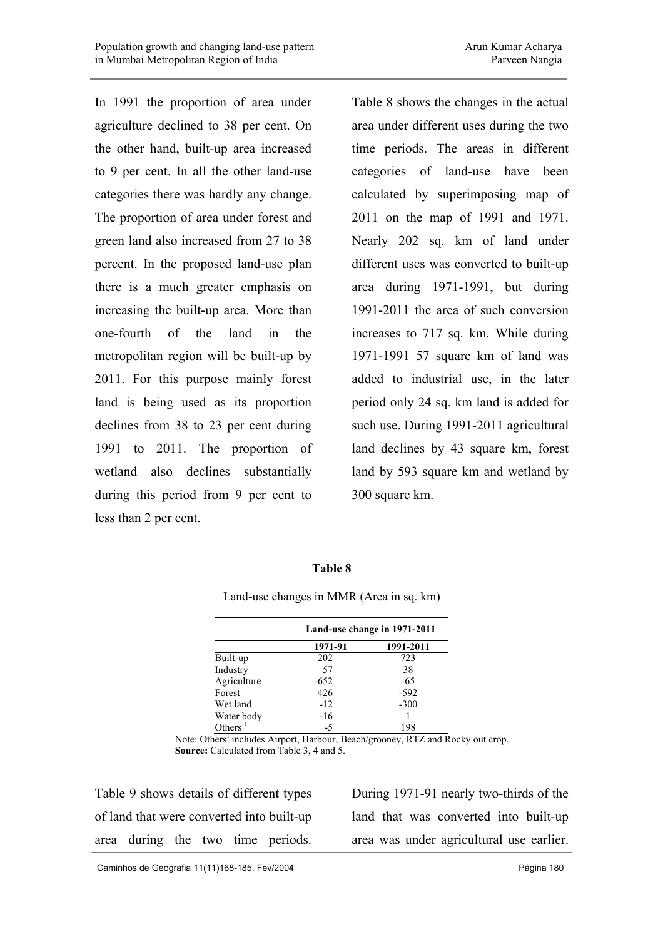In 1991 the proportion of area under agriculture declined to 38 per cent. On the other hand, built-up area increased to 9 per cent. In all the other land-use categories there was hardly any change. The proportion of area under forest and green land also increased from 27 to 38 percent. In the proposed land-use plan there is a much greater emphasis on increasing the built-up area. More than one-fourth of the land in the metropolitan region will be built-up by 2011. For this purpose mainly forest land is being used as its proportion declines from 38 to 23 per cent during 1991 to 2011. The proportion of wetland also declines substantially during this period from 9 per cent to less than 2 per cent.

Table 8 shows the changes in the actual area under different uses during the two time periods. The areas in different categories of land-use have been calculated by superimposing map of 2011 on the map of 1991 and 1971. Nearly 202 sq. km of land under different uses was converted to built-up area during 1971-1991, but during 1991-2011 the area of such conversion increases to 717 sq. km. While during 1971-1991 57 square km of land was added to industrial use, in the later period only 24 sq. km land is added for such use. During 1991-2011 agricultural land declines by 43 square km, forest land by 593 square km and wetland by 300 square km.

#### **Table 8**

Land-use changes in MMR (Area in sq. km)

|             | Land-use change in 1971-2011<br>1971-91<br>202<br>723 |           |  |
|-------------|-------------------------------------------------------|-----------|--|
|             |                                                       | 1991-2011 |  |
| Built-up    |                                                       |           |  |
| Industry    | 57                                                    | 38        |  |
| Agriculture | $-652$                                                | $-65$     |  |
| Forest      | 426                                                   | $-592$    |  |
| Wet land    | $-12$                                                 | $-300$    |  |
| Water body  | $-16$                                                 |           |  |
| Others $1$  | $-5$                                                  | 198       |  |

Note: Others<sup>1</sup> includes Airport, Harbour, Beach/grooney, RTZ and Rocky out crop. **Source:** Calculated from Table 3, 4 and 5.

Table 9 shows details of different types of land that were converted into built-up area during the two time periods.

During 1971-91 nearly two-thirds of the land that was converted into built-up area was under agricultural use earlier.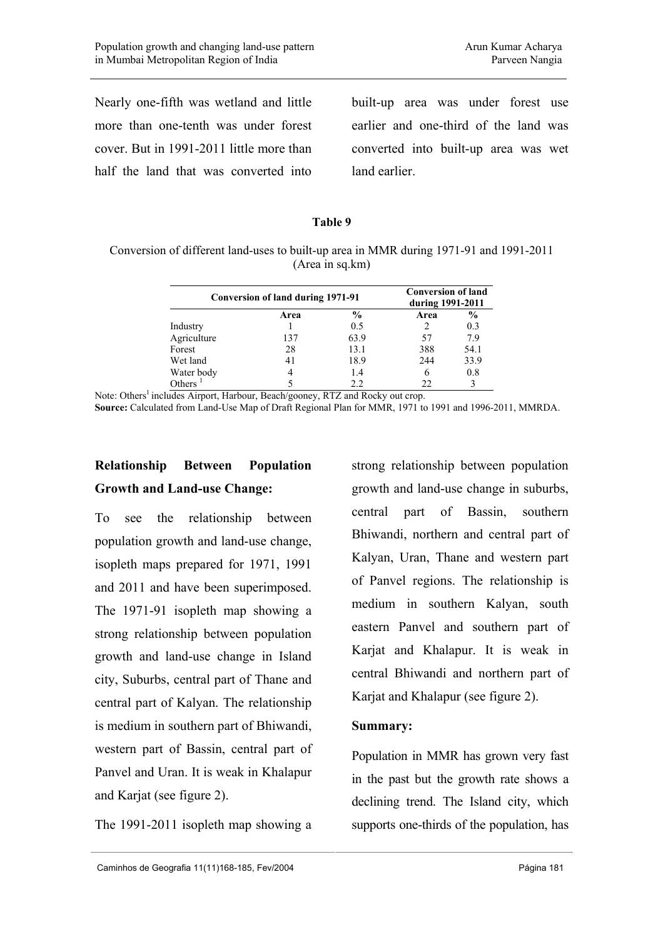Nearly one-fifth was wetland and little more than one-tenth was under forest cover. But in 1991-2011 little more than half the land that was converted into

built-up area was under forest use earlier and one-third of the land was converted into built-up area was wet land earlier.

#### **Table 9**

Conversion of different land-uses to built-up area in MMR during 1971-91 and 1991-2011 (Area in sq.km)

| Conversion of land during 1971-91 |      | <b>Conversion of land</b><br>during 1991-2011 |      |               |
|-----------------------------------|------|-----------------------------------------------|------|---------------|
|                                   | Area | $\frac{0}{0}$                                 | Area | $\frac{6}{9}$ |
| Industry                          |      | 0.5                                           |      | 0.3           |
| Agriculture                       | 137  | 63.9                                          | 57   | 7.9           |
| Forest                            | 28   | 13.1                                          | 388  | 54.1          |
| Wet land                          | 41   | 18.9                                          | 244  | 33.9          |
| Water body                        | 4    | 1.4                                           |      | 0.8           |
| Others                            |      | 22                                            |      | $\mathbf{3}$  |

Note: Others<sup>1</sup> includes Airport, Harbour, Beach/gooney, RTZ and Rocky out crop. **Source:** Calculated from Land-Use Map of Draft Regional Plan for MMR, 1971 to 1991 and 1996-2011, MMRDA.

# **Relationship Between Population Growth and Land-use Change:**

To see the relationship between population growth and land-use change, isopleth maps prepared for 1971, 1991 and 2011 and have been superimposed. The 1971-91 isopleth map showing a strong relationship between population growth and land-use change in Island city, Suburbs, central part of Thane and central part of Kalyan. The relationship is medium in southern part of Bhiwandi, western part of Bassin, central part of Panvel and Uran. It is weak in Khalapur and Karjat (see figure 2).

The 1991-2011 isopleth map showing a

strong relationship between population growth and land-use change in suburbs, central part of Bassin, southern Bhiwandi, northern and central part of Kalyan, Uran, Thane and western part of Panvel regions. The relationship is medium in southern Kalyan, south eastern Panvel and southern part of Karjat and Khalapur. It is weak in central Bhiwandi and northern part of Karjat and Khalapur (see figure 2).

### **Summary:**

Population in MMR has grown very fast in the past but the growth rate shows a declining trend. The Island city, which supports one-thirds of the population, has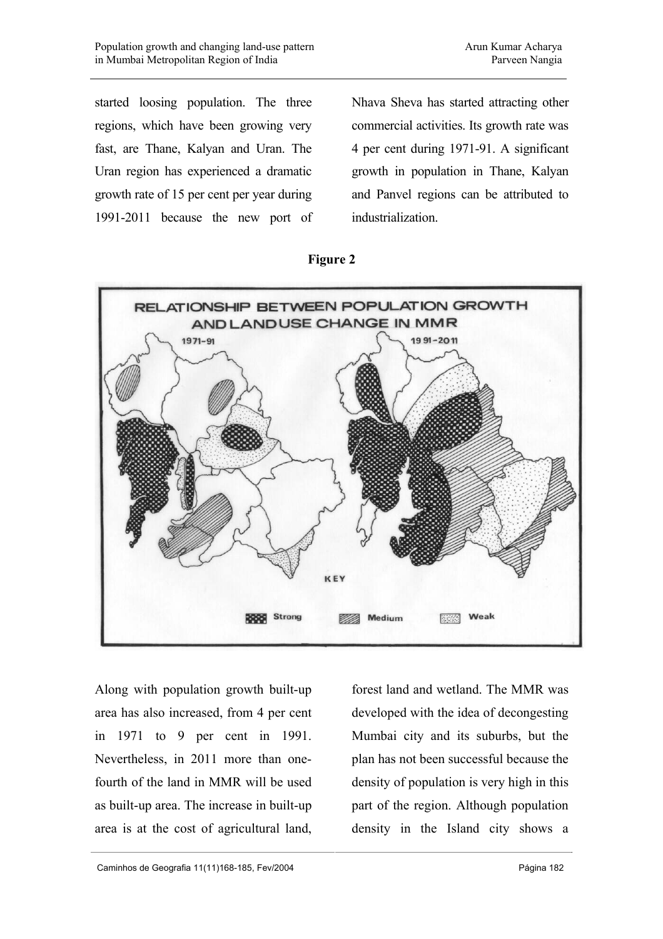started loosing population. The three regions, which have been growing very fast, are Thane, Kalyan and Uran. The Uran region has experienced a dramatic growth rate of 15 per cent per year during 1991-2011 because the new port of Nhava Sheva has started attracting other commercial activities. Its growth rate was 4 per cent during 1971-91. A significant growth in population in Thane, Kalyan and Panvel regions can be attributed to industrialization.





Along with population growth built-up area has also increased, from 4 per cent in 1971 to 9 per cent in 1991. Nevertheless, in 2011 more than onefourth of the land in MMR will be used as built-up area. The increase in built-up area is at the cost of agricultural land, forest land and wetland. The MMR was developed with the idea of decongesting Mumbai city and its suburbs, but the plan has not been successful because the density of population is very high in this part of the region. Although population density in the Island city shows a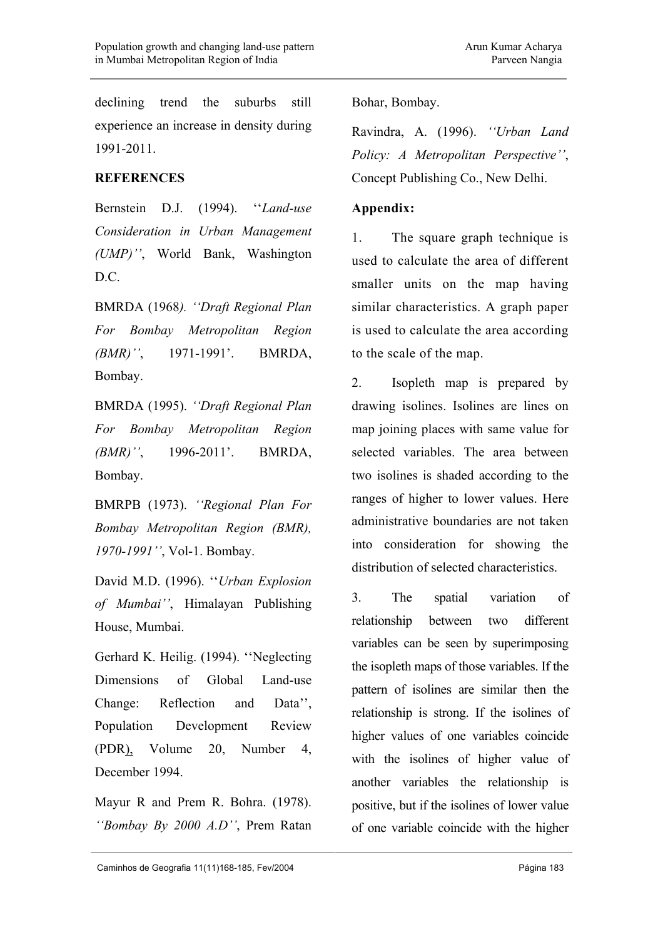declining trend the suburbs still experience an increase in density during 1991-2011.

### **REFERENCES**

Bernstein D.J. (1994). ''*Land-use Consideration in Urban Management (UMP)''*, World Bank, Washington D.C.

BMRDA (1968*). ''Draft Regional Plan For Bombay Metropolitan Region (BMR)''*, 1971-1991'. BMRDA, Bombay.

BMRDA (1995). *''Draft Regional Plan For Bombay Metropolitan Region (BMR)''*, 1996-2011'. BMRDA, Bombay.

BMRPB (1973). *''Regional Plan For Bombay Metropolitan Region (BMR), 1970-1991''*, Vol-1. Bombay.

David M.D. (1996). ''*Urban Explosion of Mumbai''*, Himalayan Publishing House, Mumbai.

Gerhard K. Heilig. (1994). ''Neglecting Dimensions of Global Land-use Change: Reflection and Data'', Population Development Review (PDR), Volume 20, Number 4, December 1994.

Mayur R and Prem R. Bohra. (1978). *''Bombay By 2000 A.D''*, Prem Ratan Bohar, Bombay.

Ravindra, A. (1996). *''Urban Land Policy: A Metropolitan Perspective''*, Concept Publishing Co., New Delhi.

### **Appendix:**

1. The square graph technique is used to calculate the area of different smaller units on the map having similar characteristics. A graph paper is used to calculate the area according to the scale of the map.

2. Isopleth map is prepared by drawing isolines. Isolines are lines on map joining places with same value for selected variables. The area between two isolines is shaded according to the ranges of higher to lower values. Here administrative boundaries are not taken into consideration for showing the distribution of selected characteristics.

3. The spatial variation of relationship between two different variables can be seen by superimposing the isopleth maps of those variables. If the pattern of isolines are similar then the relationship is strong. If the isolines of higher values of one variables coincide with the isolines of higher value of another variables the relationship is positive, but if the isolines of lower value of one variable coincide with the higher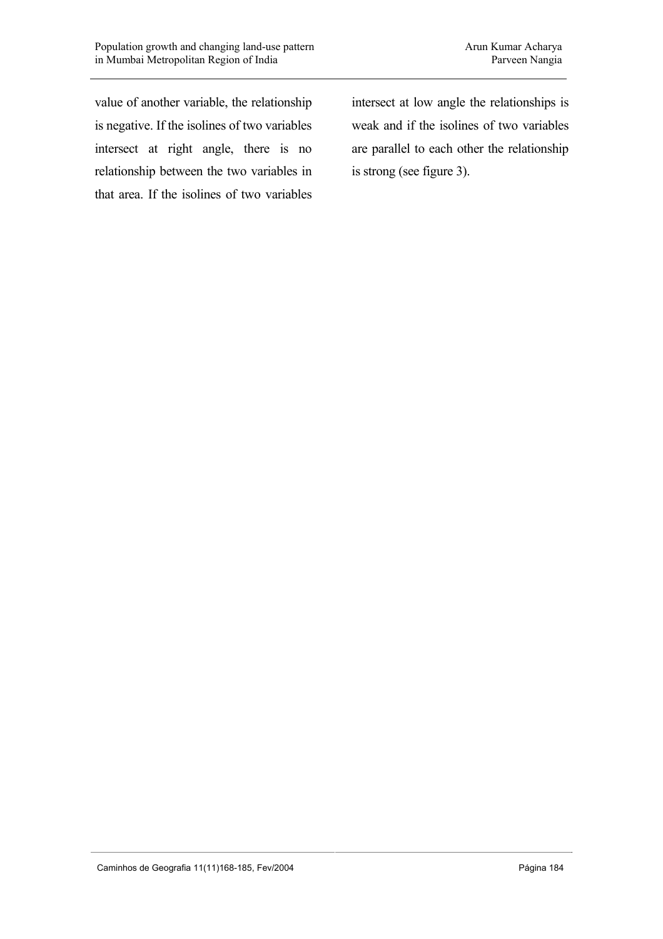value of another variable, the relationship is negative. If the isolines of two variables intersect at right angle, there is no relationship between the two variables in that area. If the isolines of two variables intersect at low angle the relationships is weak and if the isolines of two variables are parallel to each other the relationship is strong (see figure 3).